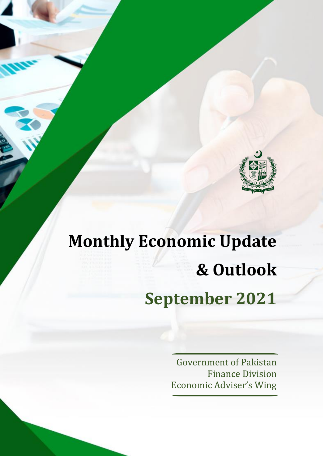

# **Monthly Economic Update & Outlook September 2021**

Government of Pakistan Finance Division Economic Adviser's Wing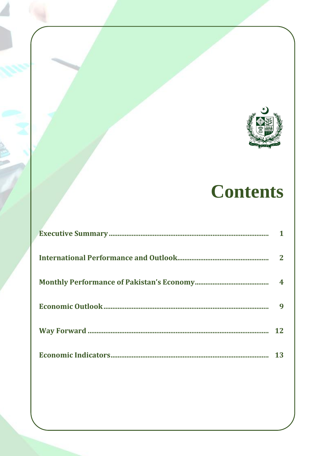

# **Contents**

| 9  |
|----|
| 12 |
| 13 |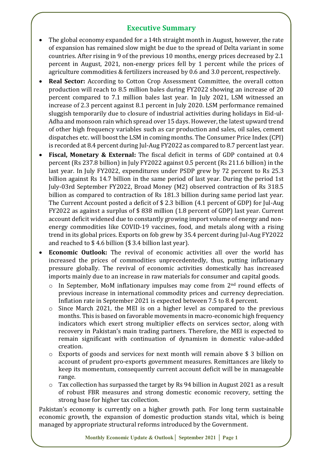# **Executive Summary**

- The global economy expanded for a 14th straight month in August, however, the rate of expansion has remained slow might be due to the spread of Delta variant in some countries. After rising in 9 of the previous 10 months, energy prices decreased by 2.1 percent in August, 2021, non-energy prices fell by 1 percent while the prices of agriculture commodities & fertilizers increased by 0.6 and 3.0 percent, respectively.
- **Real Sector:** According to Cotton Crop Assessment Committee, the overall cotton production will reach to 8.5 million bales during FY2022 showing an increase of 20 percent compared to 7.1 million bales last year. In July 2021, LSM witnessed an increase of 2.3 percent against 8.1 percent in July 2020. LSM performance remained sluggish temporarily due to closure of industrial activities during holidays in Eid-ul-Adha and monsoon rain which spread over 15 days. However, the latest upward trend of other high frequency variables such as car production and sales, oil sales, cement dispatches etc. will boost the LSM in coming months. The Consumer Price Index (CPI) is recorded at 8.4 percent during Jul-Aug FY2022 as compared to 8.7 percent last year.
- **Fiscal, Monetary & External:** The fiscal deficit in terms of GDP contained at 0.4 percent (Rs 237.8 billion) in July FY2022 against 0.5 percent (Rs 211.6 billion) in the last year. In July FY2022, expenditures under PSDP grew by 72 percent to Rs 25.3 billion against Rs 14.7 billion in the same period of last year. During the period 1st July-03rd September FY2022, Broad Money (M2) observed contraction of Rs 318.5 billion as compared to contraction of Rs 181.3 billion during same period last year. The Current Account posted a deficit of \$ 2.3 billion (4.1 percent of GDP) for Jul-Aug FY2022 as against a surplus of \$ 838 million (1.8 percent of GDP) last year. Current account deficit widened due to constantly growing import volume of energy and nonenergy commodities like COVID-19 vaccines, food, and metals along with a rising trend in its global prices. Exports on fob grew by 35.4 percent during Jul-Aug FY2022 and reached to \$ 4.6 billion (\$ 3.4 billion last year).
- **Economic Outlook:** The revival of economic activities all over the world has increased the prices of commodities unprecedentedly, thus, putting inflationary pressure globally. The revival of economic activities domestically has increased imports mainly due to an increase in raw materials for consumer and capital goods.
	- $\circ$  In September, MoM inflationary impulses may come from  $2<sup>nd</sup>$  round effects of previous increase in international commodity prices and currency depreciation. Inflation rate in September 2021 is expected between 7.5 to 8.4 percent.
	- o Since March 2021, the MEI is on a higher level as compared to the previous months. This is based on favorable movements in macro-economic high frequency indicators which exert strong multiplier effects on services sector, along with recovery in Pakistan's main trading partners. Therefore, the MEI is expected to remain significant with continuation of dynamism in domestic value-added creation.
	- o Exports of goods and services for next month will remain above \$ 3 billion on account of prudent pro-exports government measures. Remittances are likely to keep its momentum, consequently current account deficit will be in manageable range.
	- o Tax collection has surpassed the target by Rs 94 billion in August 2021 as a result of robust FBR measures and strong domestic economic recovery, setting the strong base for higher tax collection.

Pakistan's economy is currently on a higher growth path. For long term sustainable economic growth, the expansion of domestic production stands vital, which is being managed by appropriate structural reforms introduced by the Government.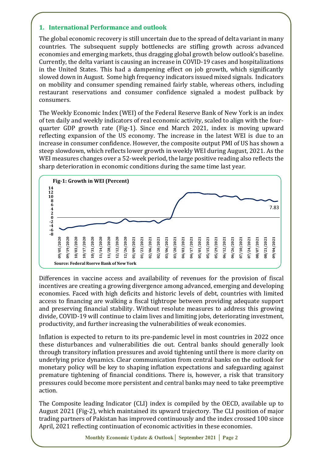# **1. International Performance and outlook**

The global economic recovery is still uncertain due to the spread of delta variant in many countries. The subsequent supply bottlenecks are stifling growth across advanced economies and emerging markets, thus dragging global growth below outlook's baseline. Currently, the delta variant is causing an increase in COVID-19 cases and hospitalizations in the United States. This had a dampening effect on job growth, which significantly slowed down in August. Some high frequency indicators issued mixed signals. Indicators on mobility and consumer spending remained fairly stable, whereas others, including restaurant reservations and consumer confidence signaled a modest pullback by consumers.

The Weekly Economic Index (WEI) of the Federal Reserve Bank of New York is an index of ten daily and weekly indicators of real economic activity, scaled to align with the fourquarter GDP growth rate (Fig-1). Since end March 2021, index is moving upward reflecting expansion of the US economy. The increase in the latest WEI is due to an increase in consumer confidence. However, the composite output PMI of US has shown a steep slowdown, which reflects lower growth in weekly WEI during August, 2021. As the WEI measures changes over a 52-week period, the large positive reading also reflects the sharp deterioration in economic conditions during the same time last year.



Differences in vaccine access and availability of revenues for the provision of fiscal incentives are creating [a growing divergence](https://blogs.imf.org/2021/07/27/drawing-further-apart-widening-gaps-in-the-global-recovery/) among advanced, emerging and developing economies. Faced with high deficits and historic levels of debt, countries with limited access to financing are walking a fiscal tightrope between providing adequate support and preserving financial stability. Without resolute measures to address this growing divide, COVID-19 will continue to claim lives and limiting jobs, deteriorating investment, productivity, and further increasing the vulnerabilities of weak economies.

Inflation is expected to return to its pre-pandemic level in most countries in 2022 once these disturbances and vulnerabilities die out. Central banks should generally look through transitory inflation pressures and avoid tightening until there is more clarity on underlying price dynamics. Clear communication from central banks on the outlook for monetary policy will be key to shaping inflation expectations and safeguarding against premature tightening of financial conditions. There is, however, a risk that transitory pressures could become more persistent and central banks may need to take preemptive action.

The Composite leading Indicator (CLI) index is compiled by the OECD, available up to August 2021 (Fig-2), which maintained its upward trajectory. The CLI position of major trading partners of Pakistan has improved continuously and the index crossed 100 since April, 2021 reflecting continuation of economic activities in these economies.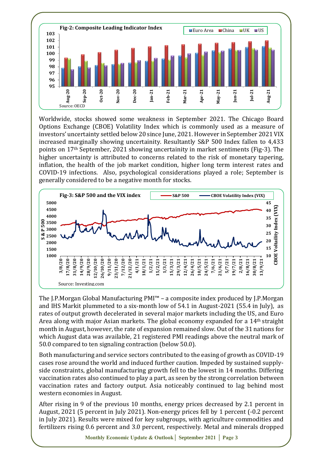

Worldwide, stocks showed some weakness in September 2021. The Chicago Board Options Exchange (CBOE) Volatility Index which is commonly used as a measure of investors' uncertainty settled below 20 since June, 2021. However in September 2021 VIX increased marginally showing uncertainity. Resultantly S&P 500 Index fallen to 4,433 points on 17th September, 2021 showing uncertainity in market sentiments (Fig-3). The higher uncertainty is attributed to concerns related to the risk of monetary tapering, inflation, the health of the job market condition, higher long term interest rates and COVID-19 infections. Also, psychological considerations played a role; September is generally considered to be a negative month for stocks.



The J.P.Morgan Global Manufacturing PMI™ – a composite index produced by J.P.Morgan and IHS Markit plummeted to a six-month low of 54.1 in August-2021 (55.4 in July), as rates of output growth decelerated in several major markets including the US, and Euro Area along with major Asian markets. The global economy expanded for a 14<sup>th</sup> straight month in August, however, the rate of expansion remained slow. Out of the 31 nations for which August data was available, 21 registered PMI readings above the neutral mark of 50.0 compared to ten signaling contraction (below 50.0).

Both manufacturing and service sectors contributed to the easing of growth as COVID-19 cases rose around the world and induced further caution. Impeded by sustained supplyside constraints, global manufacturing growth fell to the lowest in 14 months. Differing vaccination rates also continued to play a part, as seen by the strong correlation between vaccination rates and factory output. Asia noticeably continued to lag behind most western economies in August.

After rising in 9 of the previous 10 months, energy prices decreased by 2.1 percent in August, 2021 (5 percent in July 2021). Non-energy prices fell by 1 percent (-0.2 percent in July 2021). Results were mixed for key subgroups, with agriculture commodities and fertilizers rising 0.6 percent and 3.0 percent, respectively. Metal and minerals dropped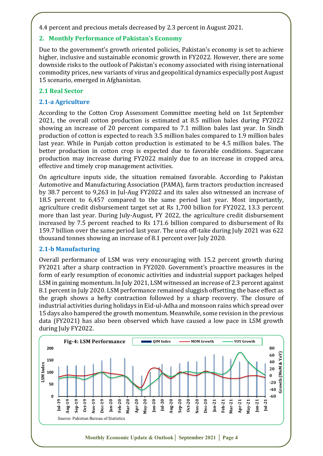4.4 percent and precious metals decreased by 2.3 percent in August 2021.

# **2. Monthly Performance of Pakistan's Economy**

Due to the government's growth oriented policies, Pakistan's economy is set to achieve higher, inclusive and sustainable economic growth in FY2022. However, there are some downside risks to the outlook of Pakistan's economy associated with rising international commodity prices, new variants of virus and geopolitical dynamics especially post August 15 scenario, emerged in Afghanistan.

# **2.1 Real Sector**

# **2.1-a Agriculture**

According to the Cotton Crop Assessment Committee meeting held on 1st September 2021, the overall cotton production is estimated at 8.5 million bales during FY2022 showing an increase of 20 percent compared to 7.1 million bales last year. In Sindh production of cotton is expected to reach 3.5 million bales compared to 1.9 million bales last year. While in Punjab cotton production is estimated to be 4.5 million bales. The better production in cotton crop is expected due to favorable conditions. Sugarcane production may increase during FY2022 mainly due to an increase in cropped area, effective and timely crop management activities.

On agriculture inputs side, the situation remained favorable. According to Pakistan Automotive and Manufacturing Association (PAMA), farm tractors production increased by 38.7 percent to 9,263 in Jul-Aug FY2022 and its sales also witnessed an increase of 18.5 percent to 6,457 compared to the same period last year. Most importantly, agriculture credit disbursement target set at Rs 1,700 billion for FY2022, 13.3 percent more than last year. During July-August, FY 2022, the agriculture credit disbursement increased by 7.5 percent reached to Rs 171.6 billion compared to disbursement of Rs 159.7 billion over the same period last year. The urea off-take during July 2021 was 622 thousand tonnes showing an increase of 8.1 percent over July 2020.

# **2.1-b Manufacturing**

Overall performance of LSM was very encouraging with 15.2 percent growth during FY2021 after a sharp contraction in FY2020. Government's proactive measures in the form of early resumption of economic activities and industrial support packages helped LSM in gaining momentum. In July 2021, LSM witnessed an increase of 2.3 percent against 8.1 percent in July 2020. LSM performance remained sluggish offsetting the base effect as the graph shows a hefty contraction followed by a sharp recovery. The closure of industrial activities during holidays in Eid-ul-Adha and monsoon rains which spread over 15 days also hampered the growth momentum. Meanwhile, some revision in the previous data (FY2021) has also been observed which have caused a low pace in LSM growth during July FY2022.

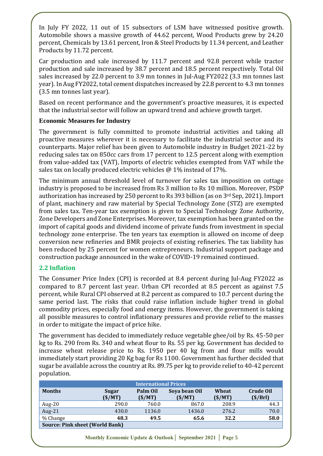In July FY 2022, 11 out of 15 subsectors of LSM have witnessed positive growth. Automobile shows a massive growth of 44.62 percent, Wood Products grew by 24.20 percent, Chemicals by 13.61 percent, Iron & Steel Products by 11.34 percent, and Leather Products by 11.72 percent.

Car production and sale increased by 111.7 percent and 92.8 percent while tractor production and sale increased by 38.7 percent and 18.5 percent respectively. Total Oil sales increased by 22.0 percent to 3.9 mn tonnes in Jul-Aug FY2022 (3.3 mn tonnes last year). In Aug FY2022, total cement dispatches increased by 22.8 percent to 4.3 mn tonnes (3.5 mn tonnes last year).

Based on recent performance and the government's proactive measures, it is expected that the industrial sector will follow an upward trend and achieve growth target.

# **Economic Measures for Industry**

The government is fully committed to promote industrial activities and taking all proactive measures wherever it is necessary to facilitate the industrial sector and its counterparts. Major relief has been given to Automobile industry in Budget 2021-22 by reducing sales tax on 850cc cars from 17 percent to 12.5 percent along with exemption from value-added tax (VAT), Imports of electric vehicles exempted from VAT while the sales tax on locally produced electric vehicles @ 1% instead of 17%.

The minimum annual threshold level of turnover for sales tax imposition on cottage industry is proposed to be increased from Rs 3 million to Rs 10 million. Moreover, PSDP authorization has increased by 250 percent to Rs 393 billion (as on 3rd Sep, 2021). Import of plant, machinery and raw material by Special Technology Zone (STZ) are exempted from sales tax. Ten-year tax exemption is given to Special Technology Zone Authority, Zone Developers and Zone Enterprises. Moreover, tax exemption has been granted on the import of capital goods and dividend income of private funds from investment in special technology zone enterprise. The ten years tax exemption is allowed on income of deep conversion new refineries and BMR projects of existing refineries. The tax liability has been reduced by 25 percent for women entrepreneurs. Industrial support package and construction package announced in the wake of COVID-19 remained continued.

# **2.2 Inflation**

The Consumer Price Index (CPI) is recorded at 8.4 percent during Jul-Aug FY2022 as compared to 8.7 percent last year. Urban CPI recorded at 8.5 percent as against 7.5 percent, while Rural CPI observed at 8.2 percent as compared to 10.7 percent during the same period last. The risks that could raise inflation include higher trend in global commodity prices, especially food and energy items. However, the government is taking all possible measures to control inflationary pressures and provide relief to the masses in order to mitigate the impact of price hike.

The government has decided to immediately reduce vegetable ghee/oil by Rs. 45-50 per kg to Rs. 290 from Rs. 340 and wheat flour to Rs. 55 per kg. Government has decided to increase wheat release price to Rs. 1950 per 40 kg from and flour mills would immediately start providing 20 Kg bag for Rs 1100. Government has further decided that sugar be available across the country at Rs. 89.75 per kg to provide relief to 40-42 percent population.

| <b>International Prices</b>            |                 |                    |                         |                 |                              |  |
|----------------------------------------|-----------------|--------------------|-------------------------|-----------------|------------------------------|--|
| <b>Months</b>                          | Sugar<br>(S/MT) | Palm Oil<br>(S/MT) | Soya bean Oil<br>(S/MT) | Wheat<br>(S/MT) | <b>Crude Oil</b><br>(\$/Brl) |  |
| Aug- $20$                              | 290.0           | 760.0              | 867.0                   | 208.9           | 44.3                         |  |
| Aug- $21$                              | 430.0           | 1136.0             | 1436.0                  | 276.2           | 70.0                         |  |
| % Change                               | 48.3            | 49.5               | 65.6                    | 32.2            | 58.0                         |  |
| <b>Source: Pink sheet (World Bank)</b> |                 |                    |                         |                 |                              |  |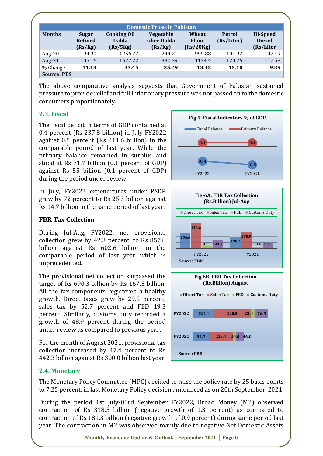|                    | <b>Domestic Prices in Pakistan</b> |                                                |                                           |                                    |                             |                                               |
|--------------------|------------------------------------|------------------------------------------------|-------------------------------------------|------------------------------------|-----------------------------|-----------------------------------------------|
| <b>Months</b>      | Sugar<br><b>Refined</b><br>(Rs/Kg) | <b>Cooking Oil</b><br><b>Dalda</b><br>(Rs/5Kg) | Vegetable<br><b>Ghee Dalda</b><br>(Rs/Kg) | Wheat<br><b>Flour</b><br>(Rs/20Kg) | <b>Petrol</b><br>(Rs/Liter) | <b>Hi-Speed</b><br><b>Diesel</b><br>(Rs/Liter |
| Aug- $20$          | 94.90                              | 1256.77                                        | 244.21                                    | 999.88                             | 104.92                      | 107.49                                        |
| Aug- $21$          | 105.46                             | 1677.22                                        | 330.39                                    | 1134.4                             | 120.76                      | 117.58                                        |
| % Change           | 11.13                              | 33.45                                          | 35.29                                     | 13.45                              | 15.10                       | 9.39                                          |
| <b>Source: PBS</b> |                                    |                                                |                                           |                                    |                             |                                               |

The above comparative analysis suggests that Government of Pakistan sustained pressure to provide relief and full inflationary pressure was not passed on to the domestic consumers proportionately.

# **2.3. Fiscal**

The fiscal deficit in terms of GDP contained at 0.4 percent (Rs 237.8 billion) in July FY2022 against 0.5 percent (Rs 211.6 billion) in the comparable period of last year. While the primary balance remained in surplus and stood at Rs 71.7 billion (0.1 percent of GDP) against Rs 55 billion (0.1 percent of GDP) during the period under review.

In July, FY2022 expenditures under PSDP grew by 72 percent to Rs 25.3 billion against Rs 14.7 billion in the same period of last year.

# **FBR Tax Collection**

During Jul-Aug, FY2022, net provisional collection grew by 42.3 percent, to Rs 857.8 billion against Rs 602.6 billion in the comparable period of last year which is unprecedented.

The provisional net collection surpassed the target of Rs 690.3 billion by Rs 167.5 billion. All the tax components registered a healthy growth. Direct taxes grew by 29.5 percent, sales tax by 52.7 percent and FED 19.3 percent. Similarly, customs duty recorded a growth of 48.9 percent during the period under review as compared to previous year.

For the month of August 2021, provisional tax collection increased by 47.4 percent to Rs 442.3 billion against Rs 300.0 billion last year.



# **2.4. Monetary**

The Monetary Policy Committee (MPC) decided to raise the policy rate by 25 basis points to 7.25 percent, in last Monetary Policy decision announced as on 20th September, 2021.

During the period 1st July-03rd September FY2022, Broad Money (M2) observed contraction of Rs 318.5 billion (negative growth of 1.3 percent) as compared to contraction of Rs 181.3 billion (negative growth of 0.9 percent) during same period last year. The contraction in M2 was observed mainly due to negative Net Domestic Assets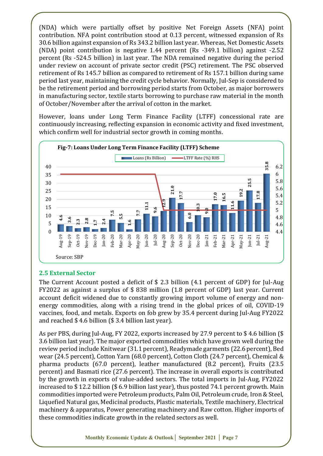(NDA) which were partially offset by positive Net Foreign Assets (NFA) point contribution. NFA point contribution stood at 0.13 percent, witnessed expansion of Rs 30.6 billion against expansion of Rs 343.2 billion last year. Whereas, Net Domestic Assets (NDA) point contribution is negative 1.44 percent (Rs -349.1 billion) against -2.52 percent (Rs -524.5 billion) in last year. The NDA remained negative during the period under review on account of private sector credit (PSC) retirement. The PSC observed retirement of Rs 145.7 billion as compared to retirement of Rs 157.1 billion during same period last year, maintaining the credit cycle behavior. Normally, Jul-Sep is considered to be the retirement period and borrowing period starts from October, as major borrowers in manufacturing sector, textile starts borrowing to purchase raw material in the month of October/November after the arrival of cotton in the market.

However, loans under Long Term Finance Facility (LTFF) concessional rate are continuously increasing, reflecting expansion in economic activity and fixed investment, which confirm well for industrial sector growth in coming months.



# **2.5 External Sector**

The Current Account posted a deficit of \$ 2.3 billion (4.1 percent of GDP) for Jul-Aug FY2022 as against a surplus of \$ 838 million (1.8 percent of GDP) last year. Current account deficit widened due to constantly growing import volume of energy and nonenergy commodities, along with a rising trend in the global prices of oil, COVID-19 vaccines, food, and metals. Exports on fob grew by 35.4 percent during Jul-Aug FY2022 and reached \$ 4.6 billion (\$ 3.4 billion last year).

As per PBS, during Jul-Aug, FY 2022, exports increased by 27.9 percent to \$ 4.6 billion (\$ 3.6 billion last year). The major exported commodities which have grown well during the review period include Knitwear (31.1 percent), Readymade garments (22.6 percent), Bed wear (24.5 percent), Cotton Yarn (68.0 percent), Cotton Cloth (24.7 percent), Chemical & pharma products (67.0 percent), leather manufactured (8.2 percent), Fruits (23.5 percent) and Basmati rice (27.6 percent). The increase in overall exports is contributed by the growth in exports of value-added sectors. The total imports in Jul-Aug, FY2022 increased to \$ 12.2 billion (\$ 6.9 billion last year), thus posted 74.1 percent growth. Main commodities imported were Petroleum products, Palm Oil, Petroleum crude, Iron & Steel, Liquefied Natural gas, Medicinal products, Plastic materials, Textile machinery, Electrical machinery & apparatus, Power generating machinery and Raw cotton. Higher imports of 25<br>
20<br>
15<br>
15<br>  $\frac{3}{2}$ <br>  $\frac{3}{2}$ <br>  $\frac{3}{2}$ <br>  $\frac{3}{2}$ <br>  $\frac{3}{2}$ <br>  $\frac{3}{2}$ <br>  $\frac{3}{2}$ <br>  $\frac{3}{2}$ <br>  $\frac{3}{2}$ <br>  $\frac{3}{2}$ <br>  $\frac{3}{2}$ <br>  $\frac{3}{2}$ <br>  $\frac{3}{2}$ <br>  $\frac{3}{2}$ <br>  $\frac{3}{2}$ <br>
Source: SBP<br>
2.5 External Sector<br>
The Cu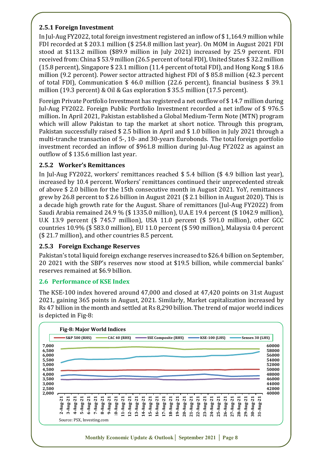# **2.5.1 Foreign Investment**

In Jul-Aug FY2022, total foreign investment registered an inflow of \$ 1,164.9 million while FDI recorded at \$ 203.1 million (\$ 254.8 million last year). On MOM in August 2021 FDI stood at \$113.2 million (\$89.9 million in July 2021) increased by 25.9 percent. FDI received from: China \$ 53.9 million (26.5 percent of total FDI), United States \$ 32.2 million (15.8 percent), Singapore \$ 23.1 million (11.4 percent of total FDI), and Hong Kong \$ 18.6 million (9.2 percent). Power sector attracted highest FDI of \$ 85.8 million (42.3 percent of total FDI), Communication \$ 46.0 million (22.6 percent), financial business \$ 39.1 million (19.3 percent) & Oil & Gas exploration \$ 35.5 million (17.5 percent).

Foreign Private Portfolio Investment has registered a net outflow of \$ 14.7 million during Jul-Aug FY2022. Foreign Public Portfolio Investment recorded a net inflow of \$ 976.5 million**.** In April 2021, Pakistan established a Global Medium-Term Note (MTN) program which will allow Pakistan to tap the market at short notice. Through this program, Pakistan successfully raised \$ 2.5 billion in April and \$ 1.0 billion in July 2021 through a multi-tranche transaction of 5-, 10- and 30-years Eurobonds. The total foreign portfolio investment recorded an inflow of \$961.8 million during Jul-Aug FY2022 as against an outflow of \$ 135.6 million last year.

# **2.5.2 Worker's Remittances**

In Jul-Aug FY2022, workers' remittances reached \$ 5.4 billion (\$ 4.9 billion last year), increased by 10.4 percent. Workers' remittances continued their unprecedented streak of above \$ 2.0 billion for the 15th consecutive month in August 2021. YoY, remittances grew by 26.8 percent to \$ 2.6 billion in August 2021 (\$ 2.1 billion in August 2020). This is a decade high growth rate for the August. Share of remittances (Jul-Aug FY2022) from Saudi Arabia remained 24.9 % (\$ 1335.0 million), U.A.E 19.4 percent (\$ 1042.9 million), U.K 13.9 percent (\$ 745.7 million), USA 11.0 percent (\$ 591.0 million), other GCC countries 10.9% (\$ 583.0 million), EU 11.0 percent (\$ 590 million), Malaysia 0.4 percent (\$ 21.7 million), and other countries 8.5 percent.

# **2.5.3 Foreign Exchange Reserves**

Pakistan's total liquid foreign exchange reserves increased to \$26.4 billion on September, 20 2021 with the SBP's reserves now stood at \$19.5 billion, while commercial banks' reserves remained at \$6.9 billion.

# **2.6 Performance of KSE Index**

The KSE-100 index hovered around 47,000 and closed at 47,420 points on 31st August 2021, gaining 365 points in August, 2021. Similarly, Market capitalization increased by Rs 47 billion in the month and settled at Rs 8,290 billion. The trend of major world indices is depicted in Fig-8:

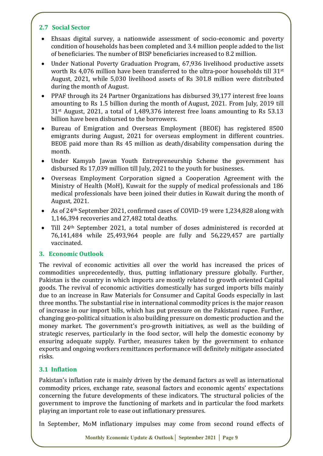# **2.7 Social Sector**

- Ehsaas digital survey, a nationwide assessment of socio-economic and poverty condition of households has been completed and 3.4 million people added to the list of beneficiaries. The number of BISP beneficiaries increased to 8.2 million.
- Under National Poverty Graduation Program, 67,936 livelihood productive assets worth Rs 4,076 million have been transferred to the ultra-poor households till 31st August, 2021, while 5,030 livelihood assets of Rs 301.8 million were distributed during the month of August.
- PPAF through its 24 Partner Organizations has disbursed 39,177 interest free loans amounting to Rs 1.5 billion during the month of August, 2021. From July, 2019 till 31st August, 2021, a total of 1,489,376 interest free loans amounting to Rs 53.13 billion have been disbursed to the borrowers.
- Bureau of Emigration and Overseas Employment (BEOE) has registered 8500 emigrants during August, 2021 for overseas employment in different countries. BEOE paid more than Rs 45 million as death/disability compensation during the month.
- Under Kamyab Jawan Youth Entrepreneurship Scheme the government has disbursed Rs 17,039 million till July, 2021 to the youth for businesses.
- Overseas Employment Corporation signed a Cooperation Agreement with the Ministry of Health (MoH), Kuwait for the supply of medical professionals and 186 medical professionals have been joined their duties in Kuwait during the month of August, 2021.
- As of 24th September 2021, confirmed cases of COVID-19 were 1,234,828 along with 1,146,394 recoveries and 27,482 total deaths.
- Till 24th September 2021, a total number of doses administered is recorded at 76,141,484 while 25,493,964 people are fully and 56,229,457 are partially vaccinated.

# **3. Economic Outlook**

The revival of economic activities all over the world has increased the prices of commodities unprecedentedly, thus, putting inflationary pressure globally. Further, Pakistan is the country in which imports are mostly related to growth oriented Capital goods. The revival of economic activities domestically has surged imports bills mainly due to an increase in Raw Materials for Consumer and Capital Goods especially in last three months. The substantial rise in international commodity prices is the major reason of increase in our import bills, which has put pressure on the Pakistani rupee. Further, changing geo-political situation is also building pressure on domestic production and the money market. The government's pro-growth initiatives, as well as the building of strategic reserves, particularly in the food sector, will help the domestic economy by ensuring adequate supply. Further, measures taken by the government to enhance exports and ongoing workers remittances performance will definitely mitigate associated risks.

# **3.1 Inflation**

Pakistan's inflation rate is mainly driven by the demand factors as well as international commodity prices, exchange rate, seasonal factors and economic agents' expectations concerning the future developments of these indicators. The structural policies of the government to improve the functioning of markets and in particular the food markets playing an important role to ease out inflationary pressures.

In September, MoM inflationary impulses may come from second round effects of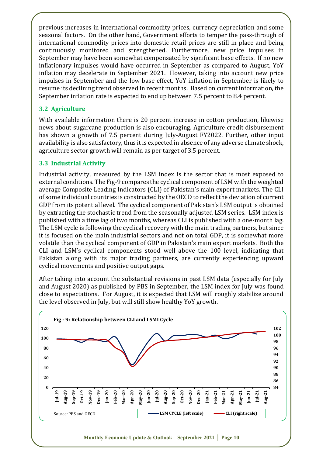previous increases in international commodity prices, currency depreciation and some seasonal factors. On the other hand, Government efforts to temper the pass-through of international commodity prices into domestic retail prices are still in place and being continuously monitored and strengthened. Furthermore, new price impulses in September may have been somewhat compensated by significant base effects. If no new inflationary impulses would have occurred in September as compared to August, YoY inflation may decelerate in September 2021. However, taking into account new price impulses in September and the low base effect, YoY inflation in September is likely to resume its declining trend observed in recent months. Based on current information, the September inflation rate is expected to end up between 7.5 percent to 8.4 percent.

# **3.2 Agriculture**

With available information there is 20 percent increase in cotton production, likewise news about sugarcane production is also encouraging. Agriculture credit disbursement has shown a growth of 7.5 percent during July-August FY2022. Further, other input availability is also satisfactory, thus it is expected in absence of any adverse climate shock, agriculture sector growth will remain as per target of 3.5 percent.

# **3.3 Industrial Activity**

Industrial activity, measured by the LSM index is the sector that is most exposed to external conditions. The Fig-9 compares the cyclical component of LSM with the weighted average Composite Leading Indicators (CLI) of Pakistan's main export markets. The CLI of some individual countries is constructed by the OECD to reflect the deviation of current GDP from its potential level. The cyclical component of Pakistan's LSM output is obtained by extracting the stochastic trend from the seasonally adjusted LSM series. LSM index is published with a time lag of two months, whereas CLI is published with a one-month lag. The LSM cycle is following the cyclical recovery with the main trading partners, but since it is focused on the main industrial sectors and not on total GDP, it is somewhat more volatile than the cyclical component of GDP in Pakistan's main export markets. Both the CLI and LSM's cyclical components stood well above the 100 level, indicating that Pakistan along with its major trading partners, are currently experiencing upward cyclical movements and positive output gaps.

After taking into account the substantial revisions in past LSM data (especially for July and August 2020) as published by PBS in September, the LSM index for July was found close to expectations. For August, it is expected that LSM will roughly stabilize around the level observed in July, but will still show healthy YoY growth.

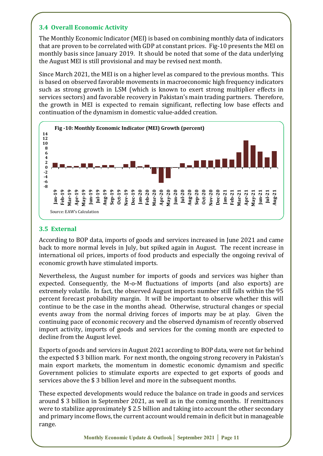# **3.4 Overall Economic Activity**

The Monthly Economic Indicator (MEI) is based on combining monthly data of indicators that are proven to be correlated with GDP at constant prices. Fig-10 presents the MEI on monthly basis since January 2019. It should be noted that some of the data underlying the August MEI is still provisional and may be revised next month.

Since March 2021, the MEI is on a higher level as compared to the previous months. This is based on observed favorable movements in macroeconomic high frequency indicators such as strong growth in LSM (which is known to exert strong multiplier effects in services sectors) and favorable recovery in Pakistan's main trading partners. Therefore, the growth in MEI is expected to remain significant, reflecting low base effects and continuation of the dynamism in domestic value-added creation.



# **3.5 External**

According to BOP data, imports of goods and services increased in June 2021 and came back to more normal levels in July, but spiked again in August. The recent increase in international oil prices, imports of food products and especially the ongoing revival of economic growth have stimulated imports.

Nevertheless, the August number for imports of goods and services was higher than expected. Consequently, the M-o-M fluctuations of imports (and also exports) are extremely volatile. In fact, the observed August imports number still falls within the 95 percent forecast probability margin. It will be important to observe whether this will continue to be the case in the months ahead. Otherwise, structural changes or special events away from the normal driving forces of imports may be at play. Given the continuing pace of economic recovery and the observed dynamism of recently observed import activity, imports of goods and services for the coming month are expected to decline from the August level.

Exports of goods and services in August 2021 according to BOP data, were not far behind the expected \$ 3 billion mark. For next month, the ongoing strong recovery in Pakistan's main export markets, the momentum in domestic economic dynamism and specific Government policies to stimulate exports are expected to get exports of goods and services above the \$ 3 billion level and more in the subsequent months.

These expected developments would reduce the balance on trade in goods and services around \$ 3 billion in September 2021, as well as in the coming months. If remittances were to stabilize approximately \$ 2.5 billion and taking into account the other secondary and primary income flows, the current account would remain in deficit but in manageable range.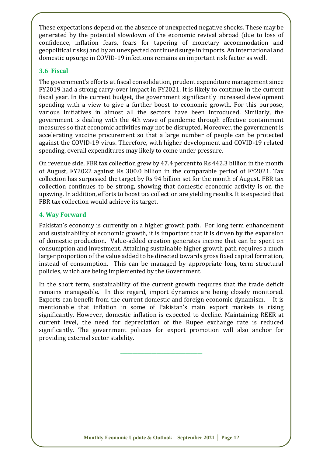These expectations depend on the absence of unexpected negative shocks. These may be generated by the potential slowdown of the economic revival abroad (due to loss of confidence, inflation fears, fears for tapering of monetary accommodation and geopolitical risks) and by an unexpected continued surge in imports. An international and domestic upsurge in COVID-19 infections remains an important risk factor as well.

# **3.6 Fiscal**

The government's efforts at fiscal consolidation, prudent expenditure management since FY2019 had a strong carry-over impact in FY2021. It is likely to continue in the current fiscal year. In the current budget, the government significantly increased development spending with a view to give a further boost to economic growth. For this purpose, various initiatives in almost all the sectors have been introduced. Similarly, the government is dealing with the 4th wave of pandemic through effective containment measures so that economic activities may not be disrupted. Moreover, the government is accelerating vaccine procurement so that a large number of people can be protected against the COVID-19 virus. Therefore, with higher development and COVID-19 related spending, overall expenditures may likely to come under pressure.

On revenue side, FBR tax collection grew by 47.4 percent to Rs 442.3 billion in the month of August, FY2022 against Rs 300.0 billion in the comparable period of FY2021. Tax collection has surpassed the target by Rs 94 billion set for the month of August. FBR tax collection continues to be strong, showing that domestic economic activity is on the upswing. In addition, efforts to boost tax collection are yielding results. It is expected that FBR tax collection would achieve its target.

#### **4. Way Forward**

Pakistan's economy is currently on a higher growth path. For long term enhancement and sustainability of economic growth, it is important that it is driven by the expansion of domestic production. Value-added creation generates income that can be spent on consumption and investment. Attaining sustainable higher growth path requires a much larger proportion of the value added to be directed towards gross fixed capital formation, instead of consumption. This can be managed by appropriate long term structural policies, which are being implemented by the Government.

In the short term, sustainability of the current growth requires that the trade deficit remains manageable. In this regard, import dynamics are being closely monitored. Exports can benefit from the current domestic and foreign economic dynamism. It is mentionable that inflation in some of Pakistan's main export markets is rising significantly. However, domestic inflation is expected to decline. Maintaining REER at current level, the need for depreciation of the Rupee exchange rate is reduced significantly. The government policies for export promotion will also anchor for providing external sector stability.

**\_\_\_\_\_\_\_\_\_\_\_\_\_\_\_\_\_\_\_\_\_\_\_\_\_\_\_\_\_\_\_\_\_\_**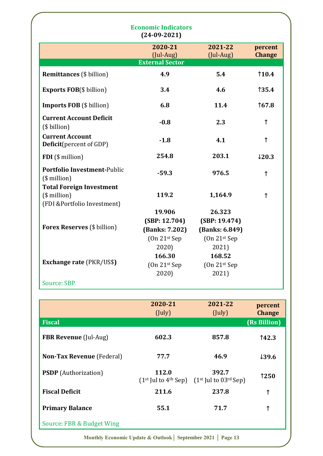| $(24-09-2021)$                                                                     |                                                             |                                                             |                   |  |  |
|------------------------------------------------------------------------------------|-------------------------------------------------------------|-------------------------------------------------------------|-------------------|--|--|
|                                                                                    | 2020-21                                                     | 2021-22                                                     | percent           |  |  |
|                                                                                    | $($ Jul-Aug $)$<br><b>External Sector</b>                   | (Jul-Aug)                                                   | <b>Change</b>     |  |  |
| <b>Remittances</b> (\$ billion)                                                    | 4.9                                                         | 5.4                                                         | 110.4             |  |  |
| <b>Exports FOB</b> (\$ billion)                                                    | 3.4                                                         | 4.6                                                         | 135.4             |  |  |
| <b>Imports FOB</b> (\$ billion)                                                    | 6.8                                                         | 11.4                                                        | 167.8             |  |  |
| <b>Current Account Deficit</b><br>(\$ billion)                                     | $-0.8$                                                      | 2.3                                                         | ↑                 |  |  |
| <b>Current Account</b><br><b>Deficit</b> (percent of GDP)                          | $-1.8$                                                      | 4.1                                                         | ↑                 |  |  |
| FDI (\$ million)                                                                   | 254.8                                                       | 203.1                                                       | $\downarrow$ 20.3 |  |  |
| <b>Portfolio Investment-Public</b><br>$($$ million $)$                             | $-59.3$                                                     | 976.5                                                       | $\uparrow$        |  |  |
| <b>Total Foreign Investment</b><br>$($$ million $)$<br>(FDI &Portfolio Investment) | 119.2                                                       | 1,164.9                                                     | ↑                 |  |  |
| <b>Forex Reserves</b> (\$ billion)                                                 | 19.906<br>(SBP: 12.704)<br>(Banks: 7.202)<br>$(On 21st$ Sep | 26.323<br>(SBP: 19.474)<br>(Banks: 6.849)<br>$(On 21st$ Sep |                   |  |  |
| <b>Exchange rate (PKR/US\$)</b>                                                    | 2020)<br>166.30<br>$(On 21st$ Sep<br>2020)                  | 2021)<br>168.52<br>$(On 21st$ Sep<br>2021)                  |                   |  |  |
| <b>Source: SBP</b>                                                                 |                                                             |                                                             |                   |  |  |

| 2020-21<br>(July) | 2021-22<br>(July) | percent<br><b>Change</b>                                               |
|-------------------|-------------------|------------------------------------------------------------------------|
|                   |                   | (Rs Billion)                                                           |
| 602.3             | 857.8             | 142.3                                                                  |
| 77.7              | 46.9              | 139.6                                                                  |
| 112.0             | 392.7             | 1250                                                                   |
| 211.6             | 237.8             | ↑                                                                      |
| 55.1              | 71.7              | ↑                                                                      |
|                   |                   |                                                                        |
|                   |                   | $(1st$ Jul to 4 <sup>th</sup> Sep) $(1st$ Jul to 03 <sup>rd</sup> Sep) |